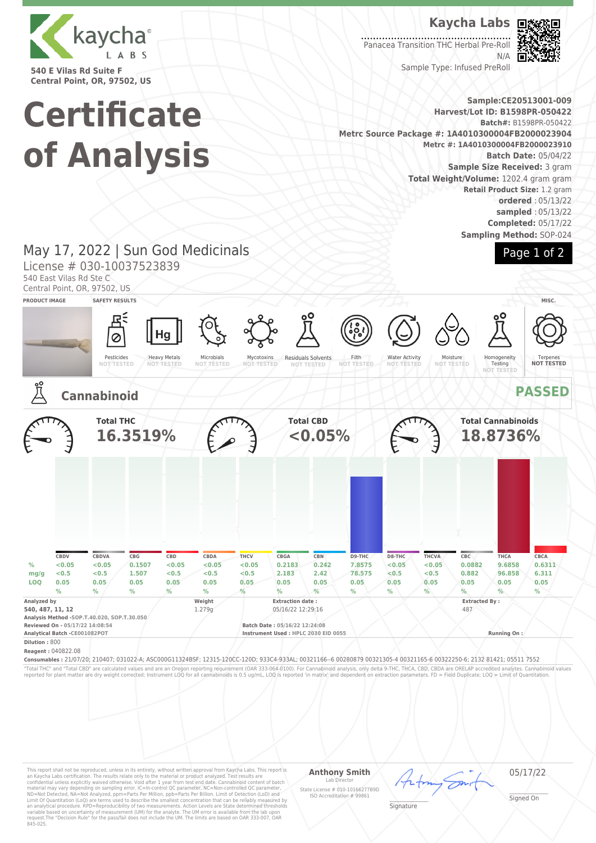

**540 E Vilas Rd Suite F Central Point, OR, 97502, US**

# **Certificate of Analysis**

**Kaycha Labs**

. . . . . . . . . . . . . . . . . . Panacea Transition THC Herbal Pre-Roll N/A



Page 1 of 2

Sample Type: Infused PreRoll

**Sample:CE20513001-009 Harvest/Lot ID: B1598PR-050422 Batch#:** B1598PR-050422 **Metrc Source Package #: 1A4010300004FB2000023904 Metrc #: 1A4010300004FB2000023910 Batch Date:** 05/04/22 **Sample Size Received:** 3 gram **Total Weight/Volume:** 1202.4 gram gram **Retail Product Size:** 1.2 gram **ordered** : 05/13/22 **sampled** : 05/13/22 **Completed:** 05/17/22 **Sampling Method:** SOP-024

## May 17, 2022 | Sun God Medicinals

License # 030-10037523839

540 East Vilas Rd Ste C

Central Point, OR, 97502, US



This report shall not be reproduced, unless in its entirety, without written approval from Kaycha Labs. This report is<br>an Kaycha Labs certification. The results relate only to the material or product analyzed. Test result

#### **Anthony Smith** Lab Director State License # 010-10166277B9D ISO Accreditation # 99861

05/17/22

\_\_\_\_\_\_\_\_\_\_\_\_\_\_\_\_\_\_\_ Signature

\_\_\_\_\_\_\_\_\_\_\_\_\_\_\_\_\_\_\_ Signed On